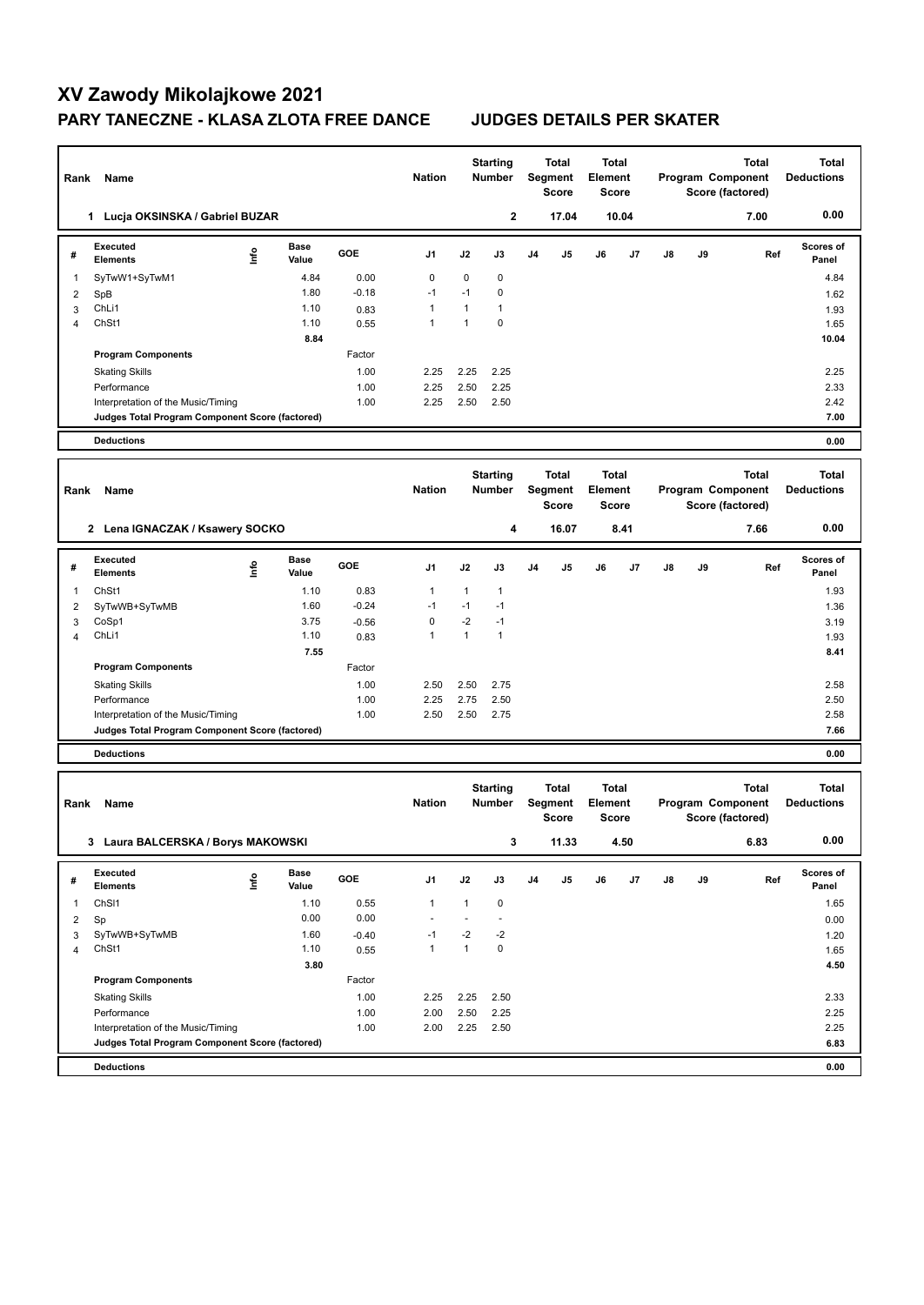## **XV Zawody Mikolajkowe 2021 PARY TANECZNE - KLASA ZLOTA FREE DANCE JUDGES DETAILS PER SKATER**

 $\overline{\phantom{0}}$ 

| Rank                               | Name                                              |      |               | <b>Nation</b> |               | <b>Starting</b><br><b>Number</b> | <b>Total</b><br>Segment<br><b>Score</b> |    | <b>Total</b><br><b>Element</b><br>Score |    | Program Component<br>Score (factored) |    | <b>Total</b>                          | Total<br><b>Deductions</b>        |                                   |
|------------------------------------|---------------------------------------------------|------|---------------|---------------|---------------|----------------------------------|-----------------------------------------|----|-----------------------------------------|----|---------------------------------------|----|---------------------------------------|-----------------------------------|-----------------------------------|
|                                    | 1 Lucja OKSINSKA / Gabriel BUZAR                  |      |               |               |               |                                  | $\mathbf 2$                             |    | 17.04                                   |    | 10.04                                 |    |                                       | 7.00                              | 0.00                              |
| #                                  | <b>Executed</b><br><b>Elements</b>                | ١nfo | Base<br>Value | GOE           | J1            | J2                               | J3                                      | J4 | J5                                      | J6 | J7                                    | J8 | J9                                    | Ref                               | <b>Scores of</b><br>Panel         |
| 1                                  | SyTwW1+SyTwM1                                     |      | 4.84          | 0.00          | 0             | 0                                | 0                                       |    |                                         |    |                                       |    |                                       |                                   | 4.84                              |
| 2                                  | SpB                                               |      | 1.80          | $-0.18$       | $-1$          | $-1$                             | 0                                       |    |                                         |    |                                       |    |                                       |                                   | 1.62                              |
| 3                                  | ChL <sub>i1</sub>                                 |      | 1.10          | 0.83          | 1             | 1                                | $\mathbf{1}$                            |    |                                         |    |                                       |    |                                       |                                   | 1.93                              |
| 4                                  | ChSt1                                             |      | 1.10          | 0.55          | 1             | $\mathbf{1}$                     | $\mathbf 0$                             |    |                                         |    |                                       |    |                                       |                                   | 1.65                              |
|                                    | <b>Program Components</b>                         |      | 8.84          | Factor        |               |                                  |                                         |    |                                         |    |                                       |    |                                       |                                   | 10.04                             |
|                                    |                                                   |      |               | 1.00          | 2.25          | 2.25                             | 2.25                                    |    |                                         |    |                                       |    |                                       |                                   | 2.25                              |
|                                    | <b>Skating Skills</b><br>Performance              |      |               | 1.00          | 2.25          | 2.50                             | 2.25                                    |    |                                         |    |                                       |    |                                       |                                   | 2.33                              |
|                                    | Interpretation of the Music/Timing                |      |               | 1.00          | 2.25          | 2.50                             | 2.50                                    |    |                                         |    |                                       |    |                                       |                                   | 2.42                              |
|                                    | Judges Total Program Component Score (factored)   |      |               |               |               |                                  |                                         |    |                                         |    |                                       |    |                                       |                                   | 7.00                              |
|                                    | <b>Deductions</b>                                 |      |               |               |               |                                  |                                         |    |                                         |    |                                       |    |                                       |                                   | 0.00                              |
|                                    |                                                   |      |               |               |               |                                  |                                         |    |                                         |    |                                       |    |                                       | Total                             |                                   |
| Rank                               | Name                                              |      |               |               | <b>Nation</b> | <b>Starting</b><br><b>Number</b> |                                         |    | Total<br>Segment<br><b>Score</b>        |    | Total<br>Element<br><b>Score</b>      |    | Program Component<br>Score (factored) |                                   | <b>Total</b><br><b>Deductions</b> |
|                                    | 2 Lena IGNACZAK / Ksawery SOCKO                   |      |               |               |               |                                  | 4                                       |    | 16.07                                   |    | 8.41                                  |    |                                       | 7.66                              | 0.00                              |
| #                                  | <b>Executed</b><br><b>Elements</b>                | ١nf٥ | Base<br>Value | GOE           | J1            | J2                               | J3                                      | J4 | J5                                      | J6 | J7                                    | J8 | J9                                    | Ref                               | <b>Scores of</b><br>Panel         |
| 1                                  | ChSt1                                             |      | 1.10          | 0.83          | 1             | $\mathbf{1}$                     | $\mathbf{1}$                            |    |                                         |    |                                       |    |                                       |                                   | 1.93                              |
| $\overline{c}$                     | SyTwWB+SyTwMB                                     |      | 1.60          | $-0.24$       | $-1$          | $-1$                             | $-1$                                    |    |                                         |    |                                       |    |                                       |                                   | 1.36                              |
| 3                                  | CoSp1                                             |      | 3.75          | $-0.56$       | 0             | $-2$                             | $-1$                                    |    |                                         |    |                                       |    |                                       |                                   | 3.19                              |
| 4                                  | ChL <sub>i1</sub>                                 |      | 1.10          | 0.83          | 1             | $\mathbf{1}$                     | $\mathbf{1}$                            |    |                                         |    |                                       |    |                                       |                                   | 1.93                              |
|                                    |                                                   |      | 7.55          |               |               |                                  |                                         |    |                                         |    |                                       |    |                                       |                                   | 8.41                              |
|                                    | <b>Program Components</b>                         |      |               | Factor        |               |                                  |                                         |    |                                         |    |                                       |    |                                       |                                   |                                   |
|                                    | <b>Skating Skills</b>                             |      |               | 1.00          | 2.50          | 2.50                             | 2.75                                    |    |                                         |    |                                       |    |                                       |                                   | 2.58<br>2.50                      |
|                                    | Performance<br>Interpretation of the Music/Timing |      |               | 1.00<br>1.00  | 2.25<br>2.50  | 2.75<br>2.50                     | 2.50<br>2.75                            |    |                                         |    |                                       |    |                                       |                                   | 2.58                              |
|                                    | Judges Total Program Component Score (factored)   |      |               |               |               |                                  |                                         |    |                                         |    |                                       |    |                                       |                                   | 7.66                              |
|                                    | <b>Deductions</b>                                 |      |               |               |               |                                  |                                         |    |                                         |    |                                       |    |                                       |                                   | 0.00                              |
|                                    |                                                   |      |               |               |               |                                  |                                         |    |                                         |    |                                       |    |                                       |                                   |                                   |
| Rank                               | Name                                              |      |               | <b>Nation</b> |               | <b>Starting</b><br><b>Number</b> | <b>Total</b><br>Segment<br><b>Score</b> |    | <b>Total</b><br>Element<br>Score        |    | Program Component<br>Score (factored) |    | <b>Total</b>                          | <b>Total</b><br><b>Deductions</b> |                                   |
| 3 Laura BALCERSKA / Borys MAKOWSKI |                                                   |      |               |               |               |                                  | 3                                       |    | 11.33                                   |    | 4.50                                  |    |                                       | 6.83                              | 0.00                              |
| #                                  | Executed<br><b>Elements</b>                       | lnfo | Base<br>Value | GOE           | J1            | J2                               | J3                                      | J4 | J5                                      | J6 | J7                                    | J8 | J9                                    | Ref                               | Scores of<br>Panel                |
| 1                                  | ChSI1                                             |      | 1.10          | 0.55          | $\mathbf{1}$  | $\mathbf{1}$                     | $\pmb{0}$                               |    |                                         |    |                                       |    |                                       |                                   | 1.65                              |
| $\overline{\mathbf{c}}$            | Sp                                                |      | 0.00          | 0.00          |               | ä,                               | $\mathbf{r}$                            |    |                                         |    |                                       |    |                                       |                                   | 0.00                              |
| 3                                  | SyTwWB+SyTwMB                                     |      | 1.60          | $-0.40$       | $-1$          | $-2$                             | $-2$                                    |    |                                         |    |                                       |    |                                       |                                   | 1.20                              |
| 4                                  | ChSt1                                             |      | 1.10          | 0.55          | $\mathbf{1}$  | $\mathbf{1}$                     | $\pmb{0}$                               |    |                                         |    |                                       |    |                                       |                                   | 1.65                              |
|                                    |                                                   |      | 3.80          |               |               |                                  |                                         |    |                                         |    |                                       |    |                                       |                                   | 4.50                              |
|                                    | <b>Program Components</b>                         |      |               | Factor        |               |                                  |                                         |    |                                         |    |                                       |    |                                       |                                   |                                   |
|                                    | <b>Skating Skills</b><br>Performance              |      |               | 1.00<br>1.00  | 2.25<br>2.00  | 2.25<br>2.50                     | 2.50<br>2.25                            |    |                                         |    |                                       |    |                                       |                                   | 2.33<br>2.25                      |
|                                    | Interpretation of the Music/Timing                |      |               | 1.00          | 2.00          | 2.25                             | 2.50                                    |    |                                         |    |                                       |    |                                       |                                   | 2.25                              |
|                                    | Judges Total Program Component Score (factored)   |      |               |               |               |                                  |                                         |    |                                         |    |                                       |    |                                       |                                   | 6.83                              |
|                                    | <b>Deductions</b>                                 |      |               |               |               |                                  |                                         |    |                                         |    |                                       |    |                                       |                                   | 0.00                              |
|                                    |                                                   |      |               |               |               |                                  |                                         |    |                                         |    |                                       |    |                                       |                                   |                                   |